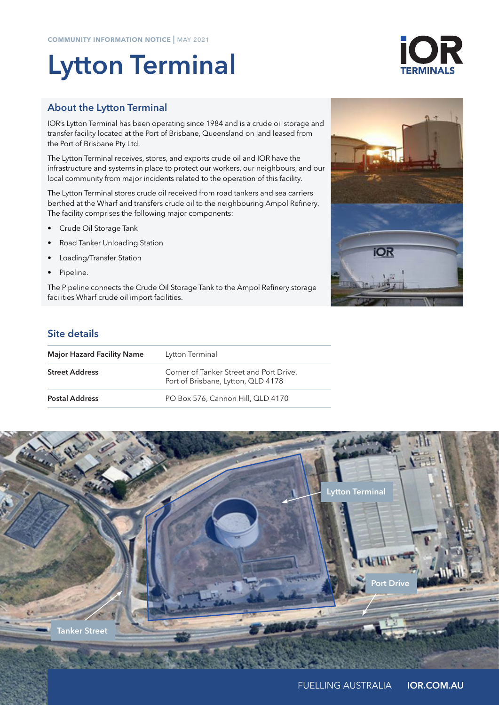# Lytton Terminal

# About the Lytton Terminal

IOR's Lytton Terminal has been operating since 1984 and is a crude oil storage and transfer facility located at the Port of Brisbane, Queensland on land leased from the Port of Brisbane Pty Ltd.

The Lytton Terminal receives, stores, and exports crude oil and IOR have the infrastructure and systems in place to protect our workers, our neighbours, and our local community from major incidents related to the operation of this facility.

The Lytton Terminal stores crude oil received from road tankers and sea carriers berthed at the Wharf and transfers crude oil to the neighbouring Ampol Refinery. The facility comprises the following major components:

- Crude Oil Storage Tank
- Road Tanker Unloading Station
- Loading/Transfer Station
- Pipeline.

The Pipeline connects the Crude Oil Storage Tank to the Ampol Refinery storage facilities Wharf crude oil import facilities.

# Site details

| <b>Major Hazard Facility Name</b> | Lytton Terminal                                                               |
|-----------------------------------|-------------------------------------------------------------------------------|
| <b>Street Address</b>             | Corner of Tanker Street and Port Drive,<br>Port of Brisbane, Lytton, QLD 4178 |
| <b>Postal Address</b>             | PO Box 576, Cannon Hill, QLD 4170                                             |